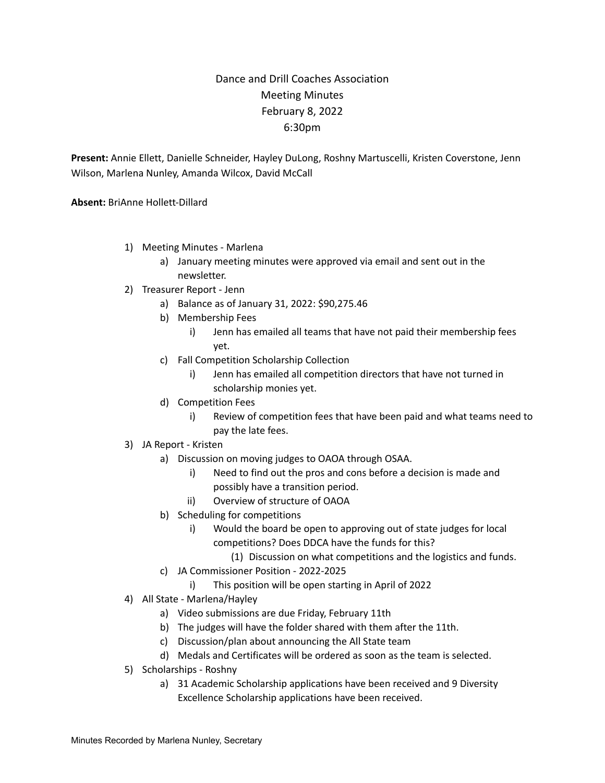## Dance and Drill Coaches Association Meeting Minutes February 8, 2022 6:30pm

**Present:** Annie Ellett, Danielle Schneider, Hayley DuLong, Roshny Martuscelli, Kristen Coverstone, Jenn Wilson, Marlena Nunley, Amanda Wilcox, David McCall

**Absent:** BriAnne Hollett-Dillard

- 1) Meeting Minutes Marlena
	- a) January meeting minutes were approved via email and sent out in the newsletter.
- 2) Treasurer Report Jenn
	- a) Balance as of January 31, 2022: \$90,275.46
	- b) Membership Fees
		- i) Jenn has emailed all teams that have not paid their membership fees yet.
	- c) Fall Competition Scholarship Collection
		- i) Jenn has emailed all competition directors that have not turned in scholarship monies yet.
	- d) Competition Fees
		- i) Review of competition fees that have been paid and what teams need to pay the late fees.
- 3) JA Report Kristen
	- a) Discussion on moving judges to OAOA through OSAA.
		- i) Need to find out the pros and cons before a decision is made and possibly have a transition period.
		- ii) Overview of structure of OAOA
	- b) Scheduling for competitions
		- i) Would the board be open to approving out of state judges for local competitions? Does DDCA have the funds for this?
			- (1) Discussion on what competitions and the logistics and funds.
	- c) JA Commissioner Position 2022-2025
		- i) This position will be open starting in April of 2022
- 4) All State Marlena/Hayley
	- a) Video submissions are due Friday, February 11th
	- b) The judges will have the folder shared with them after the 11th.
	- c) Discussion/plan about announcing the All State team
	- d) Medals and Certificates will be ordered as soon as the team is selected.
- 5) Scholarships Roshny
	- a) 31 Academic Scholarship applications have been received and 9 Diversity Excellence Scholarship applications have been received.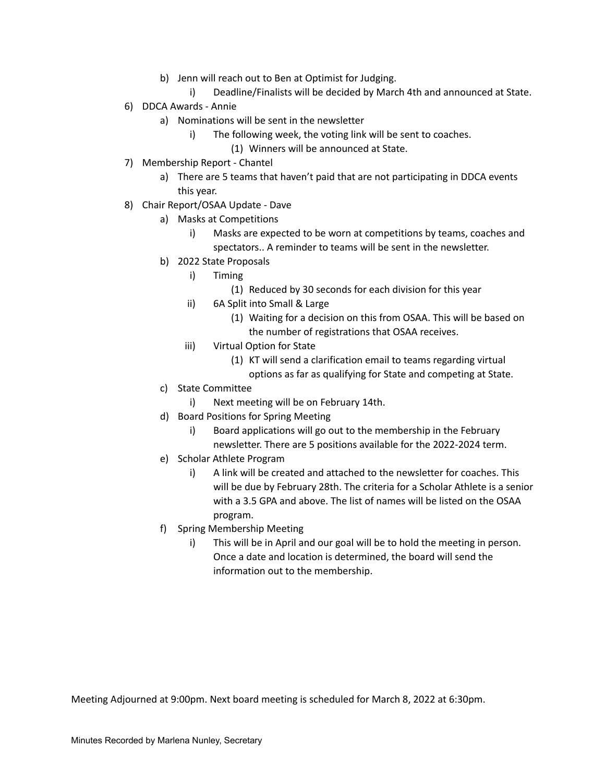- b) Jenn will reach out to Ben at Optimist for Judging.
	- i) Deadline/Finalists will be decided by March 4th and announced at State.
- 6) DDCA Awards Annie
	- a) Nominations will be sent in the newsletter
		- i) The following week, the voting link will be sent to coaches.
			- (1) Winners will be announced at State.
- 7) Membership Report Chantel
	- a) There are 5 teams that haven't paid that are not participating in DDCA events this year.
- 8) Chair Report/OSAA Update Dave
	- a) Masks at Competitions
		- i) Masks are expected to be worn at competitions by teams, coaches and spectators.. A reminder to teams will be sent in the newsletter.
	- b) 2022 State Proposals
		- i) Timing
			- (1) Reduced by 30 seconds for each division for this year
		- ii) 6A Split into Small & Large
			- (1) Waiting for a decision on this from OSAA. This will be based on the number of registrations that OSAA receives.
		- iii) Virtual Option for State
			- (1) KT will send a clarification email to teams regarding virtual
			- options as far as qualifying for State and competing at State.
	- c) State Committee
		- i) Next meeting will be on February 14th.
	- d) Board Positions for Spring Meeting
		- i) Board applications will go out to the membership in the February newsletter. There are 5 positions available for the 2022-2024 term.
	- e) Scholar Athlete Program
		- i) A link will be created and attached to the newsletter for coaches. This will be due by February 28th. The criteria for a Scholar Athlete is a senior with a 3.5 GPA and above. The list of names will be listed on the OSAA program.
	- f) Spring Membership Meeting
		- i) This will be in April and our goal will be to hold the meeting in person. Once a date and location is determined, the board will send the information out to the membership.

Meeting Adjourned at 9:00pm. Next board meeting is scheduled for March 8, 2022 at 6:30pm.